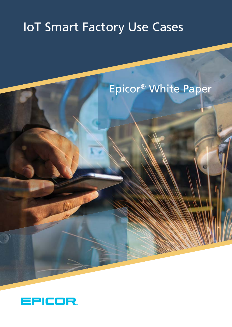# IoT Smart Factory Use Cases

# Epicor® White Paper



B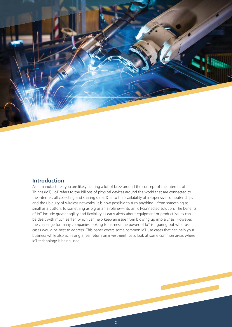

# **Introduction**

As a manufacturer, you are likely hearing a lot of buzz around the concept of the Internet of Things (IoT). IoT refers to the billions of physical devices around the world that are connected to the internet, all collecting and sharing data. Due to the availability of inexpensive computer chips and the ubiquity of wireless networks, it is now possible to turn anything—from something as small as a button, to something as big as an airplane—into an IoT-connected solution. The benefits of IoT include greater agility and flexibility as early alerts about equipment or product issues can be dealt with much earlier, which can help keep an issue from blowing up into a crisis. However, the challenge for many companies looking to harness the power of IoT is figuring out what use cases would be best to address. This paper covers some common IoT use cases that can help your business while also achieving a real return on investment. Let's look at some common areas where IoT technology is being used: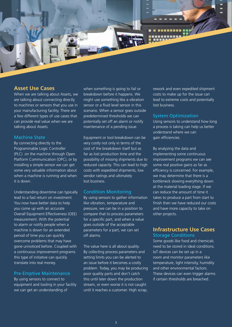

### **Asset Use Cases**

When we are talking about Assets, we are talking about connecting directly to machines or sensors that you use in your manufacturing facility. There are a few different types of use cases that can provide real value when we are talking about Assets.

#### Machine State

By connecting directly to the Programmable Logic Controller (PLC) on the machine through Open Platform Communication (OPC), or by installing a simple sensor we can get some very valuable information about when a machine is running and when it is down.

Understanding downtime can typically lead to a fast return on investment. You now have better data to help you come up with an accurate Overall Equipment Effectiveness (OEE) measurement. With the potential to alarm or notify people when a machine is down for an extended period of time you can quickly overcome problems that may have gone unnoticed before. Coupled with a continuous improvement programs this type of initiative can quickly translate into real money.

#### Pre-Emptive Maintenance

By using sensors to connect to equipment and tooling in your facility we can get an understanding of

when something is going to fail or breakdown before it happens. We might use something like a vibration sensor or a fluid level sensor in this scenario. When a sensor goes outside predetermined thresholds we can potentially set off an alarm or notify maintenance of a pending issue.

Equipment or tool breakdown can be very costly not only in terms of the cost of the breakdown itself but as far as lost production time and the possibility of missing shipments due to reduced capacity. This can lead to high costs with expedited shipments, low vendor ratings and ultimately lost business.

#### Condition Monitoring

By using sensors to gather information like vibration, temperature and pressure, we can be in a position to compare that to process parameters for a specific part, and when a value goes outside of the acceptable parameters for a part, we can set off alarms.

The value here is all about quality. By collecting process parameters and setting limits you can be alerted to an issue before it becomes a costly problem. Today, you may be producing poor quality parts and don't catch this until later down the production stream, or even worse it is not caught until it reaches a customer. High scrap, rework and even expedited shipment costs to make up for the issue can lead to extreme costs and potentially lost business.

#### System Optimization

Using sensors to understand how long a process is taking can help us better understand where we can gain efficiencies.

By analyzing the data and implementing some continuous improvement programs we can see some real positive gains as far as efficiency is concerned. For example, we may determine that there is a bottleneck slowing everything down at the material loading stage. If we can reduce the amount of time it takes to produce a part from start to finish then we have reduced our costs and have more capacity to take on other projects.

# **Infrastructure Use Cases** Storage Conditions

Some goods like food and chemicals need to be stored in ideal conditions. IoT devices can be set up in a room and monitor parameters like temperature, light intensity, humidity and other environmental factors. These devices can even trigger alarms if certain thresholds are breached.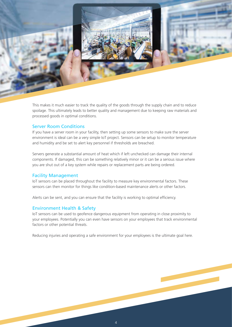

This makes it much easier to track the quality of the goods through the supply chain and to reduce spoilage. This ultimately leads to better quality and management due to keeping raw materials and processed goods in optimal conditions.

### Server Room Conditions

If you have a server room in your facility, then setting up some sensors to make sure the server environment is ideal can be a very simple IoT project. Sensors can be setup to monitor temperature and humidity and be set to alert key personnel if thresholds are breached.

Servers generate a substantial amount of heat which if left unchecked can damage their internal components. If damaged, this can be something relatively minor or it can be a serious issue where you are shut out of a key system while repairs or replacement parts are being ordered.

#### Facility Management

IoT sensors can be placed throughout the facility to measure key environmental factors. These sensors can then monitor for things like condition-based maintenance alerts or other factors.

Alerts can be sent, and you can ensure that the facility is working to optimal efficiency.

#### Environment Health & Safety

IoT sensors can be used to geofence dangerous equipment from operating in close proximity to your employees. Potentially you can even have sensors on your employees that track environmental factors or other potential threats.

Reducing injuries and operating a safe environment for your employees is the ultimate goal here.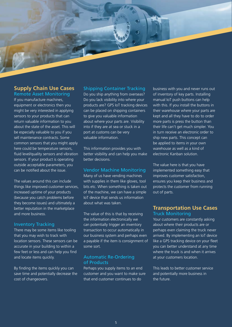

# **Supply Chain Use Cases**

Remote Asset Monitoring If you manufacture machines, equipment or electronics then you might be very interested in applying sensors to your products that can return valuable information to you about the state of the asset. This will be especially valuable to you if you sell maintenance contracts. Some common sensors that you might apply here could be temperature sensors, fluid level/quality sensors and vibration sensors. If your product is operating outside acceptable parameters, you can be notified about the issue.

The values around this can include things like improved customer services, increased uptime of your products (because you catch problems before they become issues) and ultimately a better reputation in the marketplace and more business.

#### Inventory Tracking

There may be some items like tooling that you may wish to track with location sensors. These sensors can be accurate in your building to within a few feet or less and can help you find and locate items quickly.

By finding the items quickly you can save time and potentially decrease the cost of changeovers.

# Shipping Container Tracking

Do you ship anything from overseas? Do you lack visibility into where your products are? GPS IoT tracking devices can be placed on shipping containers to give you valuable information about where your parts are. Visibility into if they are at sea or stuck in a port at customs can be very valuable information.

This information provides you with better visibility and can help you make better decisions.

#### Vendor Machine Monitoring

Many of us have vending machines with supplies in them like gloves, tool bits etc. When something is taken out of the machine, we can have a simple IoT device that sends us information about what was taken.

The value of this is that by receiving the information electronically we can potentially trigger an inventory transaction to occur automatically in our business system and perhaps even a payable if the item is consignment of some sort.

#### Automatic Re-Ordering of Products

Perhaps you supply items to an end customer and you want to make sure that end customer continues to do

business with you and never runs out of inventory of key parts. Installing manual IoT push buttons can help with this. If you install the buttons in their warehouse where your parts are kept and all they have to do to order more parts is press the button than their life can't get much simpler. You in turn receive an electronic order to ship new parts. This concept can be applied to items in your own warehouse as well as a kind of electronic Kanban solution.

The value here is that you have implemented something easy that improves customer satisfaction, ensures you keep their business and protects the customer from running out of parts.

# **Transportation Use Cases** Truck Monitoring

Your customers are constantly asking about where their products are or perhaps even claiming the truck never arrived. By implementing an IoT device like a GPS tracking device on your fleet you can better understand at any time where the truck is and when it arrives at your customers location.

This leads to better customer service and potentially more business in the future.